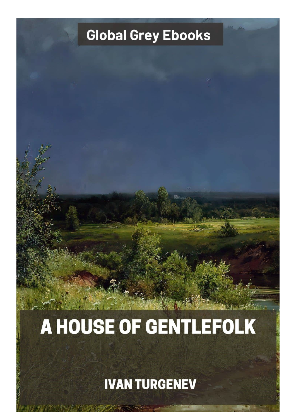## **Global Grey Ebooks**

## A HOUSE OF GENTLEFOLK

**IVAN TURGENEV**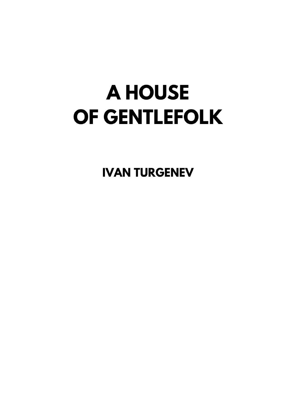## **A HOUSE** OF GENTLEFOLK

**IVAN TURGENEV**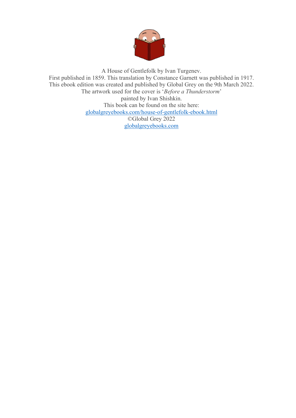

A House of Gentlefolk by Ivan Turgenev. First published in 1859. This translation by Constance Garnett was published in 1917. This ebook edition was created and published by Global Grey on the 9th March 2022. The artwork used for the cover is '*Before a Thunderstorm*' painted by Ivan Shishkin. This book can be found on the site here: [globalgreyebooks.com/house-of-gentlefolk-ebook.html](https://www.globalgreyebooks.com/house-of-gentlefolk-ebook.html) ©Global Grey 2022 [globalgreyebooks.com](https://www.globalgreyebooks.com/)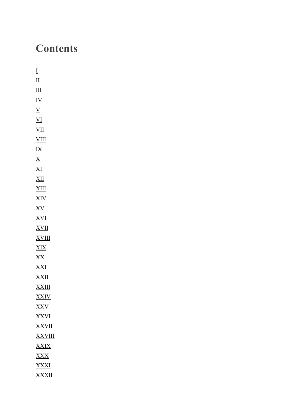## **Contents**

| Ī                         |
|---------------------------|
| $\overline{\Pi}$          |
| III                       |
| <u>IV</u>                 |
| $\overline{\Lambda}$      |
| $\underline{\text{VI}}$   |
| $\underline{\text{VII}}$  |
| <u>VIII</u>               |
| <u>IX</u>                 |
| $\underline{X}$           |
| $\underline{\mathrm{XI}}$ |
| <u>XII</u>                |
| <u>XIII</u>               |
| <u>XIV</u>                |
| <u>XV</u>                 |
| <u>XVI</u>                |
| <u>XVII</u>               |
| <u>XVIII</u>              |
| <u>XIX</u>                |
| <u>XX</u>                 |
| <u>XXI</u>                |
| <u>XXII</u>               |
| <u>XXIII</u>              |
| <b>XXIV</b>               |
| <u>XXV</u>                |
| XXVI                      |
| <u>XXVII</u>              |
| <b>XXVIII</b>             |
| <b>XXIX</b>               |
| <u>XXX</u>                |
| <b>XXXI</b>               |
| <u>XXXII</u>              |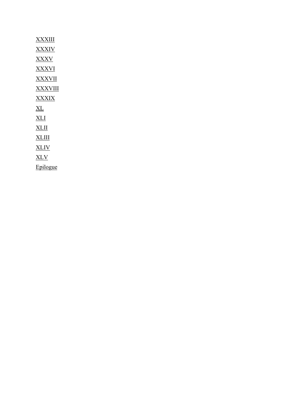| <b>XXXIII</b>  |
|----------------|
| <b>XXXIV</b>   |
| <b>XXXV</b>    |
| XXXVI          |
| <b>XXXVII</b>  |
| <b>XXXVIII</b> |
| <b>XXXIX</b>   |
| ΧL             |
| XLI            |
| XLII           |
| <b>XLIII</b>   |
| <b>XLIV</b>    |
| <u>XLV</u>     |
| Epilogue       |